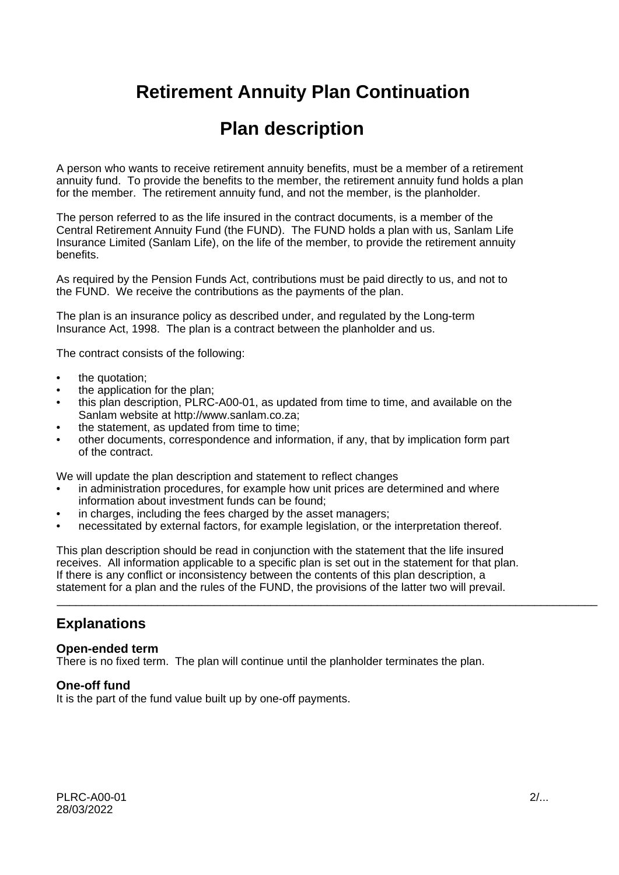# **Retirement Annuity Plan Continuation**

# **Plan description**

A person who wants to receive retirement annuity benefits, must be a member of a retirement annuity fund. To provide the benefits to the member, the retirement annuity fund holds a plan for the member. The retirement annuity fund, and not the member, is the planholder.

The person referred to as the life insured in the contract documents, is a member of the Central Retirement Annuity Fund (the FUND). The FUND holds a plan with us, Sanlam Life Insurance Limited (Sanlam Life), on the life of the member, to provide the retirement annuity benefits.

As required by the Pension Funds Act, contributions must be paid directly to us, and not to the FUND. We receive the contributions as the payments of the plan.

The plan is an insurance policy as described under, and regulated by the Long-term Insurance Act, 1998. The plan is a contract between the planholder and us.

The contract consists of the following:

- the quotation;
- the application for the plan;
- this plan description, PLRC-A00-01, as updated from time to time, and available on the Sanlam website at http://www.sanlam.co.za;
- the statement, as updated from time to time;
- other documents, correspondence and information, if any, that by implication form part of the contract.

We will update the plan description and statement to reflect changes

- in administration procedures, for example how unit prices are determined and where information about investment funds can be found;
- in charges, including the fees charged by the asset managers;
- necessitated by external factors, for example legislation, or the interpretation thereof.

This plan description should be read in conjunction with the statement that the life insured receives. All information applicable to a specific plan is set out in the statement for that plan. If there is any conflict or inconsistency between the contents of this plan description, a statement for a plan and the rules of the FUND, the provisions of the latter two will prevail.

\_\_\_\_\_\_\_\_\_\_\_\_\_\_\_\_\_\_\_\_\_\_\_\_\_\_\_\_\_\_\_\_\_\_\_\_\_\_\_\_\_\_\_\_\_\_\_\_\_\_\_\_\_\_\_\_\_\_\_\_\_\_\_\_\_\_\_\_\_\_\_\_\_\_\_\_\_\_\_\_\_\_\_\_\_\_

# **Explanations**

### **Open-ended term**

There is no fixed term. The plan will continue until the planholder terminates the plan.

### **One-off fund**

It is the part of the fund value built up by one-off payments.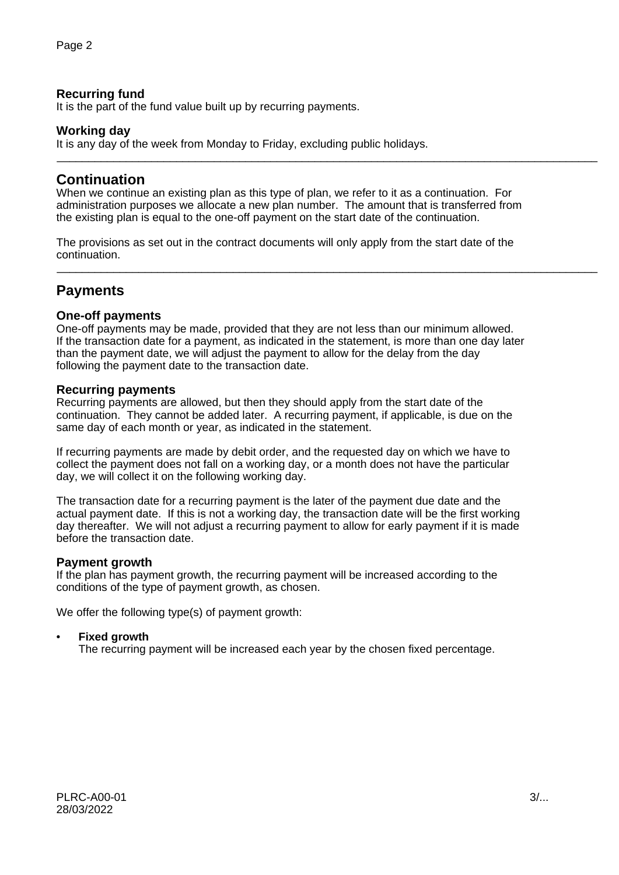### **Recurring fund**

It is the part of the fund value built up by recurring payments.

### **Working day**

It is any day of the week from Monday to Friday, excluding public holidays. \_\_\_\_\_\_\_\_\_\_\_\_\_\_\_\_\_\_\_\_\_\_\_\_\_\_\_\_\_\_\_\_\_\_\_\_\_\_\_\_\_\_\_\_\_\_\_\_\_\_\_\_\_\_\_\_\_\_\_\_\_\_\_\_\_\_\_\_\_\_\_\_\_\_\_\_\_\_\_\_\_\_\_\_\_\_

## **Continuation**

When we continue an existing plan as this type of plan, we refer to it as a continuation. For administration purposes we allocate a new plan number. The amount that is transferred from the existing plan is equal to the one-off payment on the start date of the continuation.

The provisions as set out in the contract documents will only apply from the start date of the continuation.

\_\_\_\_\_\_\_\_\_\_\_\_\_\_\_\_\_\_\_\_\_\_\_\_\_\_\_\_\_\_\_\_\_\_\_\_\_\_\_\_\_\_\_\_\_\_\_\_\_\_\_\_\_\_\_\_\_\_\_\_\_\_\_\_\_\_\_\_\_\_\_\_\_\_\_\_\_\_\_\_\_\_\_\_\_\_

# **Payments**

### **One-off payments**

One-off payments may be made, provided that they are not less than our minimum allowed. If the transaction date for a payment, as indicated in the statement, is more than one day later than the payment date, we will adjust the payment to allow for the delay from the day following the payment date to the transaction date.

#### **Recurring payments**

Recurring payments are allowed, but then they should apply from the start date of the continuation. They cannot be added later. A recurring payment, if applicable, is due on the same day of each month or year, as indicated in the statement.

If recurring payments are made by debit order, and the requested day on which we have to collect the payment does not fall on a working day, or a month does not have the particular day, we will collect it on the following working day.

The transaction date for a recurring payment is the later of the payment due date and the actual payment date. If this is not a working day, the transaction date will be the first working day thereafter. We will not adjust a recurring payment to allow for early payment if it is made before the transaction date.

### **Payment growth**

If the plan has payment growth, the recurring payment will be increased according to the conditions of the type of payment growth, as chosen.

We offer the following type(s) of payment growth:

### • **Fixed growth**

The recurring payment will be increased each year by the chosen fixed percentage.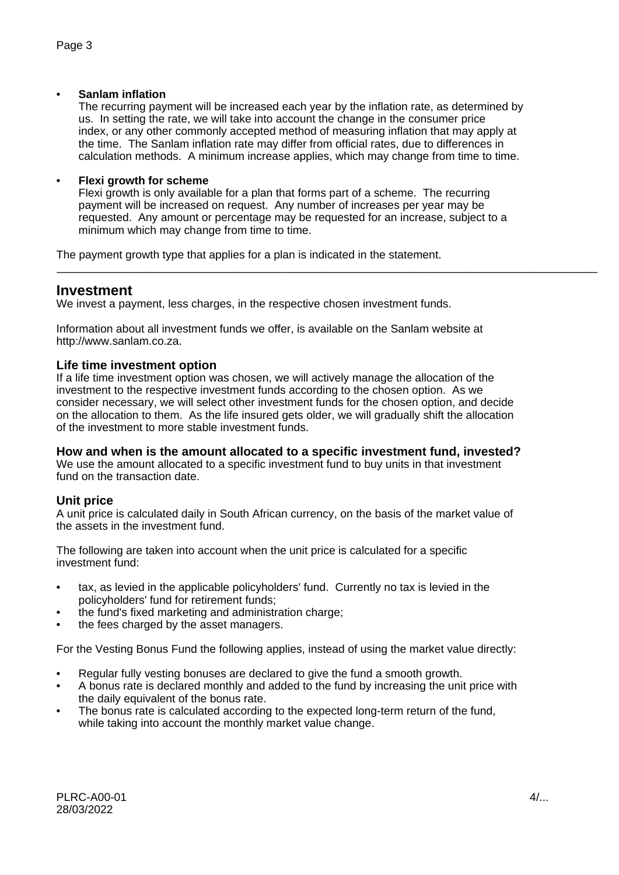### • **Sanlam inflation**

The recurring payment will be increased each year by the inflation rate, as determined by us. In setting the rate, we will take into account the change in the consumer price index, or any other commonly accepted method of measuring inflation that may apply at the time. The Sanlam inflation rate may differ from official rates, due to differences in calculation methods. A minimum increase applies, which may change from time to time.

### • **Flexi growth for scheme**

Flexi growth is only available for a plan that forms part of a scheme. The recurring payment will be increased on request. Any number of increases per year may be requested. Any amount or percentage may be requested for an increase, subject to a minimum which may change from time to time.

\_\_\_\_\_\_\_\_\_\_\_\_\_\_\_\_\_\_\_\_\_\_\_\_\_\_\_\_\_\_\_\_\_\_\_\_\_\_\_\_\_\_\_\_\_\_\_\_\_\_\_\_\_\_\_\_\_\_\_\_\_\_\_\_\_\_\_\_\_\_\_\_\_\_\_\_\_\_\_\_\_\_\_\_\_\_

The payment growth type that applies for a plan is indicated in the statement.

### **Investment**

We invest a payment, less charges, in the respective chosen investment funds.

Information about all investment funds we offer, is available on the Sanlam website at http://www.sanlam.co.za.

### **Life time investment option**

If a life time investment option was chosen, we will actively manage the allocation of the investment to the respective investment funds according to the chosen option. As we consider necessary, we will select other investment funds for the chosen option, and decide on the allocation to them. As the life insured gets older, we will gradually shift the allocation of the investment to more stable investment funds.

### **How and when is the amount allocated to a specific investment fund, invested?**

We use the amount allocated to a specific investment fund to buy units in that investment fund on the transaction date.

### **Unit price**

A unit price is calculated daily in South African currency, on the basis of the market value of the assets in the investment fund.

The following are taken into account when the unit price is calculated for a specific investment fund:

- tax, as levied in the applicable policyholders' fund. Currently no tax is levied in the policyholders' fund for retirement funds;
- the fund's fixed marketing and administration charge;
- the fees charged by the asset managers.

For the Vesting Bonus Fund the following applies, instead of using the market value directly:

- Regular fully vesting bonuses are declared to give the fund a smooth growth.
- A bonus rate is declared monthly and added to the fund by increasing the unit price with the daily equivalent of the bonus rate.
- The bonus rate is calculated according to the expected long-term return of the fund, while taking into account the monthly market value change.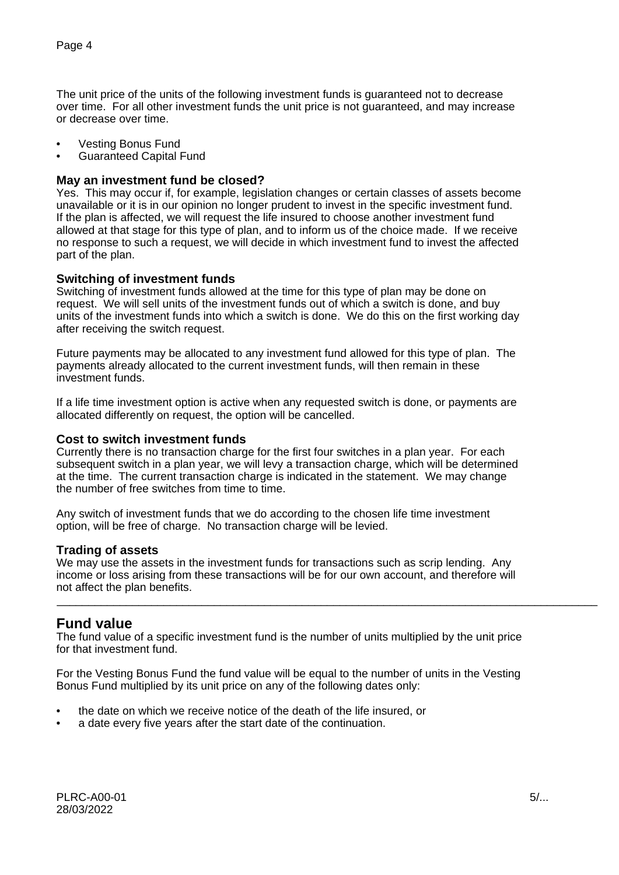The unit price of the units of the following investment funds is guaranteed not to decrease over time. For all other investment funds the unit price is not guaranteed, and may increase or decrease over time.

- Vesting Bonus Fund
- Guaranteed Capital Fund

### **May an investment fund be closed?**

Yes. This may occur if, for example, legislation changes or certain classes of assets become unavailable or it is in our opinion no longer prudent to invest in the specific investment fund. If the plan is affected, we will request the life insured to choose another investment fund allowed at that stage for this type of plan, and to inform us of the choice made. If we receive no response to such a request, we will decide in which investment fund to invest the affected part of the plan.

#### **Switching of investment funds**

Switching of investment funds allowed at the time for this type of plan may be done on request. We will sell units of the investment funds out of which a switch is done, and buy units of the investment funds into which a switch is done. We do this on the first working day after receiving the switch request.

Future payments may be allocated to any investment fund allowed for this type of plan. The payments already allocated to the current investment funds, will then remain in these investment funds.

If a life time investment option is active when any requested switch is done, or payments are allocated differently on request, the option will be cancelled.

#### **Cost to switch investment funds**

Currently there is no transaction charge for the first four switches in a plan year. For each subsequent switch in a plan year, we will levy a transaction charge, which will be determined at the time. The current transaction charge is indicated in the statement. We may change the number of free switches from time to time.

Any switch of investment funds that we do according to the chosen life time investment option, will be free of charge. No transaction charge will be levied.

#### **Trading of assets**

We may use the assets in the investment funds for transactions such as scrip lending. Any income or loss arising from these transactions will be for our own account, and therefore will not affect the plan benefits.

\_\_\_\_\_\_\_\_\_\_\_\_\_\_\_\_\_\_\_\_\_\_\_\_\_\_\_\_\_\_\_\_\_\_\_\_\_\_\_\_\_\_\_\_\_\_\_\_\_\_\_\_\_\_\_\_\_\_\_\_\_\_\_\_\_\_\_\_\_\_\_\_\_\_\_\_\_\_\_\_\_\_\_\_\_\_

### **Fund value**

The fund value of a specific investment fund is the number of units multiplied by the unit price for that investment fund.

For the Vesting Bonus Fund the fund value will be equal to the number of units in the Vesting Bonus Fund multiplied by its unit price on any of the following dates only:

- the date on which we receive notice of the death of the life insured, or
- a date every five years after the start date of the continuation.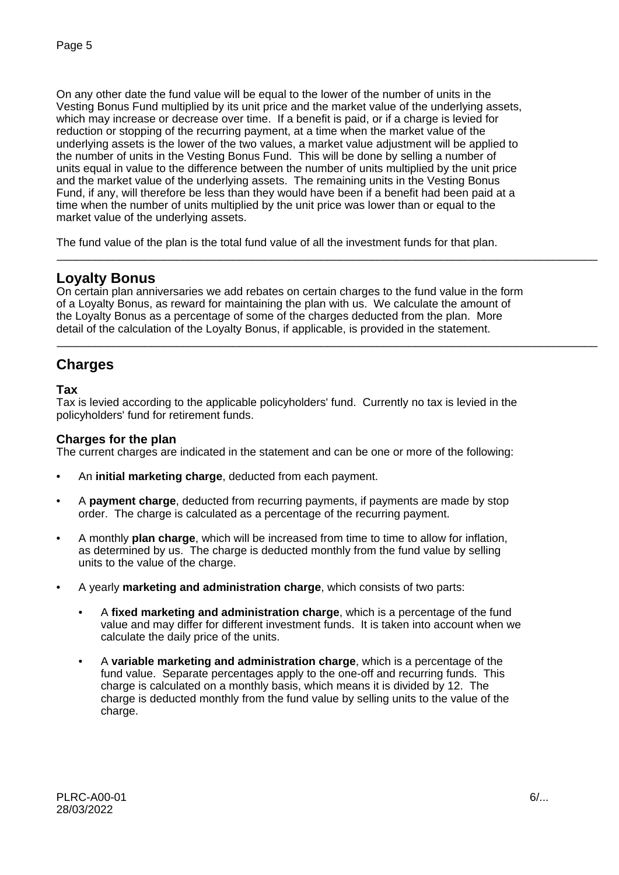On any other date the fund value will be equal to the lower of the number of units in the Vesting Bonus Fund multiplied by its unit price and the market value of the underlying assets, which may increase or decrease over time. If a benefit is paid, or if a charge is levied for reduction or stopping of the recurring payment, at a time when the market value of the underlying assets is the lower of the two values, a market value adjustment will be applied to the number of units in the Vesting Bonus Fund. This will be done by selling a number of units equal in value to the difference between the number of units multiplied by the unit price and the market value of the underlying assets. The remaining units in the Vesting Bonus Fund, if any, will therefore be less than they would have been if a benefit had been paid at a time when the number of units multiplied by the unit price was lower than or equal to the market value of the underlying assets.

The fund value of the plan is the total fund value of all the investment funds for that plan.

# **Loyalty Bonus**

On certain plan anniversaries we add rebates on certain charges to the fund value in the form of a Loyalty Bonus, as reward for maintaining the plan with us. We calculate the amount of the Loyalty Bonus as a percentage of some of the charges deducted from the plan. More detail of the calculation of the Loyalty Bonus, if applicable, is provided in the statement.

\_\_\_\_\_\_\_\_\_\_\_\_\_\_\_\_\_\_\_\_\_\_\_\_\_\_\_\_\_\_\_\_\_\_\_\_\_\_\_\_\_\_\_\_\_\_\_\_\_\_\_\_\_\_\_\_\_\_\_\_\_\_\_\_\_\_\_\_\_\_\_\_\_\_\_\_\_\_\_\_\_\_\_\_\_\_

\_\_\_\_\_\_\_\_\_\_\_\_\_\_\_\_\_\_\_\_\_\_\_\_\_\_\_\_\_\_\_\_\_\_\_\_\_\_\_\_\_\_\_\_\_\_\_\_\_\_\_\_\_\_\_\_\_\_\_\_\_\_\_\_\_\_\_\_\_\_\_\_\_\_\_\_\_\_\_\_\_\_\_\_\_\_

# **Charges**

### **Tax**

Tax is levied according to the applicable policyholders' fund. Currently no tax is levied in the policyholders' fund for retirement funds.

### **Charges for the plan**

The current charges are indicated in the statement and can be one or more of the following:

- An **initial marketing charge**, deducted from each payment.
- A **payment charge**, deducted from recurring payments, if payments are made by stop order. The charge is calculated as a percentage of the recurring payment.
- A monthly **plan charge**, which will be increased from time to time to allow for inflation, as determined by us. The charge is deducted monthly from the fund value by selling units to the value of the charge.
- A yearly **marketing and administration charge**, which consists of two parts:
	- A **fixed marketing and administration charge**, which is a percentage of the fund value and may differ for different investment funds. It is taken into account when we calculate the daily price of the units.
	- A **variable marketing and administration charge**, which is a percentage of the fund value. Separate percentages apply to the one-off and recurring funds. This charge is calculated on a monthly basis, which means it is divided by 12. The charge is deducted monthly from the fund value by selling units to the value of the charge.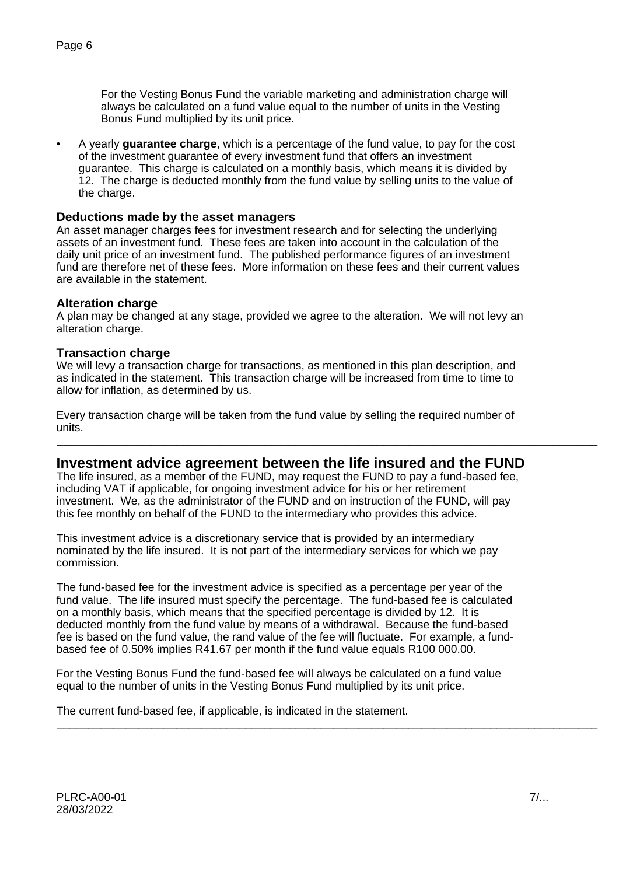For the Vesting Bonus Fund the variable marketing and administration charge will always be calculated on a fund value equal to the number of units in the Vesting Bonus Fund multiplied by its unit price.

• A yearly **guarantee charge**, which is a percentage of the fund value, to pay for the cost of the investment guarantee of every investment fund that offers an investment guarantee. This charge is calculated on a monthly basis, which means it is divided by 12. The charge is deducted monthly from the fund value by selling units to the value of the charge.

### **Deductions made by the asset managers**

An asset manager charges fees for investment research and for selecting the underlying assets of an investment fund. These fees are taken into account in the calculation of the daily unit price of an investment fund. The published performance figures of an investment fund are therefore net of these fees. More information on these fees and their current values are available in the statement.

#### **Alteration charge**

A plan may be changed at any stage, provided we agree to the alteration. We will not levy an alteration charge.

#### **Transaction charge**

We will levy a transaction charge for transactions, as mentioned in this plan description, and as indicated in the statement. This transaction charge will be increased from time to time to allow for inflation, as determined by us.

Every transaction charge will be taken from the fund value by selling the required number of units.

### **Investment advice agreement between the life insured and the FUND**

\_\_\_\_\_\_\_\_\_\_\_\_\_\_\_\_\_\_\_\_\_\_\_\_\_\_\_\_\_\_\_\_\_\_\_\_\_\_\_\_\_\_\_\_\_\_\_\_\_\_\_\_\_\_\_\_\_\_\_\_\_\_\_\_\_\_\_\_\_\_\_\_\_\_\_\_\_\_\_\_\_\_\_\_\_\_

The life insured, as a member of the FUND, may request the FUND to pay a fund-based fee, including VAT if applicable, for ongoing investment advice for his or her retirement investment. We, as the administrator of the FUND and on instruction of the FUND, will pay this fee monthly on behalf of the FUND to the intermediary who provides this advice.

This investment advice is a discretionary service that is provided by an intermediary nominated by the life insured. It is not part of the intermediary services for which we pay commission.

The fund-based fee for the investment advice is specified as a percentage per year of the fund value. The life insured must specify the percentage. The fund-based fee is calculated on a monthly basis, which means that the specified percentage is divided by 12. It is deducted monthly from the fund value by means of a withdrawal. Because the fund-based fee is based on the fund value, the rand value of the fee will fluctuate. For example, a fundbased fee of 0.50% implies R41.67 per month if the fund value equals R100 000.00.

For the Vesting Bonus Fund the fund-based fee will always be calculated on a fund value equal to the number of units in the Vesting Bonus Fund multiplied by its unit price.

\_\_\_\_\_\_\_\_\_\_\_\_\_\_\_\_\_\_\_\_\_\_\_\_\_\_\_\_\_\_\_\_\_\_\_\_\_\_\_\_\_\_\_\_\_\_\_\_\_\_\_\_\_\_\_\_\_\_\_\_\_\_\_\_\_\_\_\_\_\_\_\_\_\_\_\_\_\_\_\_\_\_\_\_\_\_

The current fund-based fee, if applicable, is indicated in the statement.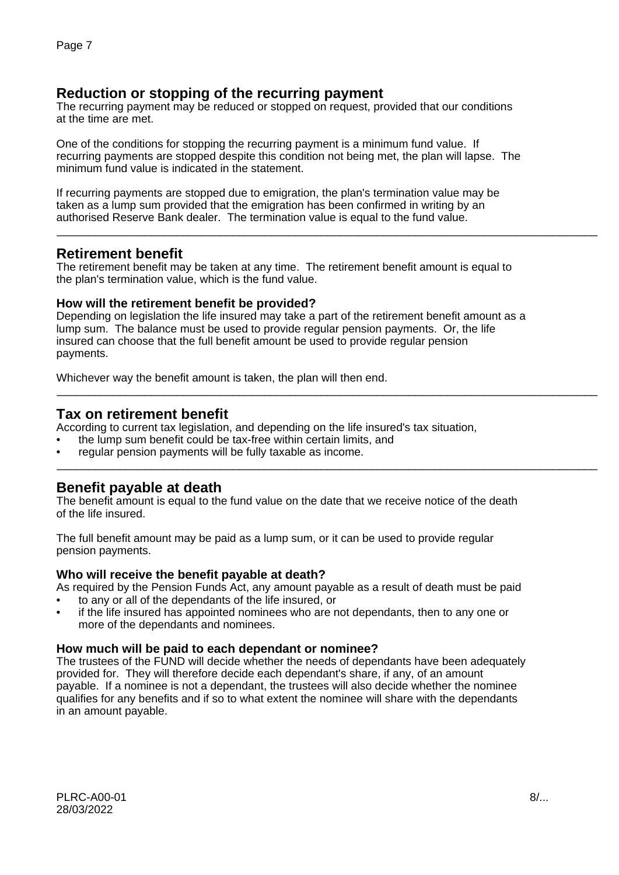# **Reduction or stopping of the recurring payment**

The recurring payment may be reduced or stopped on request, provided that our conditions at the time are met.

One of the conditions for stopping the recurring payment is a minimum fund value. If recurring payments are stopped despite this condition not being met, the plan will lapse. The minimum fund value is indicated in the statement.

If recurring payments are stopped due to emigration, the plan's termination value may be taken as a lump sum provided that the emigration has been confirmed in writing by an authorised Reserve Bank dealer. The termination value is equal to the fund value.

## **Retirement benefit**

The retirement benefit may be taken at any time. The retirement benefit amount is equal to the plan's termination value, which is the fund value.

\_\_\_\_\_\_\_\_\_\_\_\_\_\_\_\_\_\_\_\_\_\_\_\_\_\_\_\_\_\_\_\_\_\_\_\_\_\_\_\_\_\_\_\_\_\_\_\_\_\_\_\_\_\_\_\_\_\_\_\_\_\_\_\_\_\_\_\_\_\_\_\_\_\_\_\_\_\_\_\_\_\_\_\_\_\_

\_\_\_\_\_\_\_\_\_\_\_\_\_\_\_\_\_\_\_\_\_\_\_\_\_\_\_\_\_\_\_\_\_\_\_\_\_\_\_\_\_\_\_\_\_\_\_\_\_\_\_\_\_\_\_\_\_\_\_\_\_\_\_\_\_\_\_\_\_\_\_\_\_\_\_\_\_\_\_\_\_\_\_\_\_\_

\_\_\_\_\_\_\_\_\_\_\_\_\_\_\_\_\_\_\_\_\_\_\_\_\_\_\_\_\_\_\_\_\_\_\_\_\_\_\_\_\_\_\_\_\_\_\_\_\_\_\_\_\_\_\_\_\_\_\_\_\_\_\_\_\_\_\_\_\_\_\_\_\_\_\_\_\_\_\_\_\_\_\_\_\_\_

### **How will the retirement benefit be provided?**

Depending on legislation the life insured may take a part of the retirement benefit amount as a lump sum. The balance must be used to provide regular pension payments. Or, the life insured can choose that the full benefit amount be used to provide regular pension payments.

Whichever way the benefit amount is taken, the plan will then end.

# **Tax on retirement benefit**

According to current tax legislation, and depending on the life insured's tax situation,

- the lump sum benefit could be tax-free within certain limits, and
- regular pension payments will be fully taxable as income.

# **Benefit payable at death**

The benefit amount is equal to the fund value on the date that we receive notice of the death of the life insured.

The full benefit amount may be paid as a lump sum, or it can be used to provide regular pension payments.

### **Who will receive the benefit payable at death?**

As required by the Pension Funds Act, any amount payable as a result of death must be paid

- to any or all of the dependants of the life insured, or
- if the life insured has appointed nominees who are not dependants, then to any one or more of the dependants and nominees.

### **How much will be paid to each dependant or nominee?**

The trustees of the FUND will decide whether the needs of dependants have been adequately provided for. They will therefore decide each dependant's share, if any, of an amount payable. If a nominee is not a dependant, the trustees will also decide whether the nominee qualifies for any benefits and if so to what extent the nominee will share with the dependants in an amount payable.